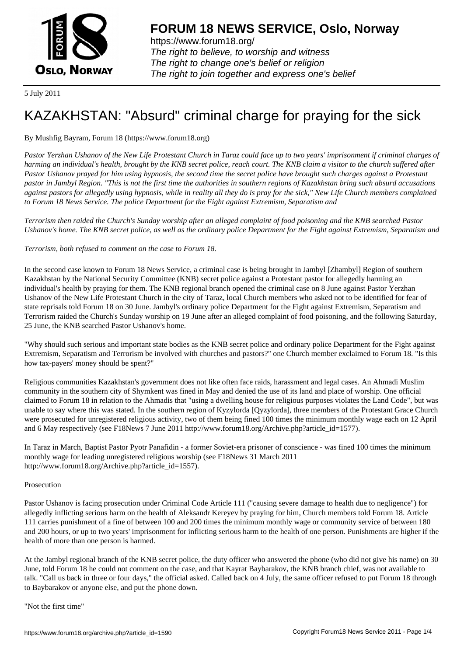

https://www.forum18.org/ The right to believe, to worship and witness The right to change one's belief or religion [The right to join together a](https://www.forum18.org/)nd express one's belief

5 July 2011

# [KAZAKHSTAN:](https://www.forum18.org) "Absurd" criminal charge for praying for the sick

## By Mushfig Bayram, Forum 18 (https://www.forum18.org)

*Pastor Yerzhan Ushanov of the New Life Protestant Church in Taraz could face up to two years' imprisonment if criminal charges of harming an individual's health, brought by the KNB secret police, reach court. The KNB claim a visitor to the church suffered after Pastor Ushanov prayed for him using hypnosis, the second time the secret police have brought such charges against a Protestant pastor in Jambyl Region. "This is not the first time the authorities in southern regions of Kazakhstan bring such absurd accusations against pastors for allegedly using hypnosis, while in reality all they do is pray for the sick," New Life Church members complained to Forum 18 News Service. The police Department for the Fight against Extremism, Separatism and*

*Terrorism then raided the Church's Sunday worship after an alleged complaint of food poisoning and the KNB searched Pastor Ushanov's home. The KNB secret police, as well as the ordinary police Department for the Fight against Extremism, Separatism and*

## *Terrorism, both refused to comment on the case to Forum 18.*

In the second case known to Forum 18 News Service, a criminal case is being brought in Jambyl [Zhambyl] Region of southern Kazakhstan by the National Security Committee (KNB) secret police against a Protestant pastor for allegedly harming an individual's health by praying for them. The KNB regional branch opened the criminal case on 8 June against Pastor Yerzhan Ushanov of the New Life Protestant Church in the city of Taraz, local Church members who asked not to be identified for fear of state reprisals told Forum 18 on 30 June. Jambyl's ordinary police Department for the Fight against Extremism, Separatism and Terrorism raided the Church's Sunday worship on 19 June after an alleged complaint of food poisoning, and the following Saturday, 25 June, the KNB searched Pastor Ushanov's home.

"Why should such serious and important state bodies as the KNB secret police and ordinary police Department for the Fight against Extremism, Separatism and Terrorism be involved with churches and pastors?" one Church member exclaimed to Forum 18. "Is this how tax-payers' money should be spent?"

Religious communities Kazakhstan's government does not like often face raids, harassment and legal cases. An Ahmadi Muslim community in the southern city of Shymkent was fined in May and denied the use of its land and place of worship. One official claimed to Forum 18 in relation to the Ahmadis that "using a dwelling house for religious purposes violates the Land Code", but was unable to say where this was stated. In the southern region of Kyzylorda [Qyzylorda], three members of the Protestant Grace Church were prosecuted for unregistered religious activity, two of them being fined 100 times the minimum monthly wage each on 12 April and 6 May respectively (see F18News 7 June 2011 http://www.forum18.org/Archive.php?article\_id=1577).

In Taraz in March, Baptist Pastor Pyotr Panafidin - a former Soviet-era prisoner of conscience - was fined 100 times the minimum monthly wage for leading unregistered religious worship (see F18News 31 March 2011 http://www.forum18.org/Archive.php?article\_id=1557).

### Prosecution

Pastor Ushanov is facing prosecution under Criminal Code Article 111 ("causing severe damage to health due to negligence") for allegedly inflicting serious harm on the health of Aleksandr Kereyev by praying for him, Church members told Forum 18. Article 111 carries punishment of a fine of between 100 and 200 times the minimum monthly wage or community service of between 180 and 200 hours, or up to two years' imprisonment for inflicting serious harm to the health of one person. Punishments are higher if the health of more than one person is harmed.

At the Jambyl regional branch of the KNB secret police, the duty officer who answered the phone (who did not give his name) on 30 June, told Forum 18 he could not comment on the case, and that Kayrat Baybarakov, the KNB branch chief, was not available to talk. "Call us back in three or four days," the official asked. Called back on 4 July, the same officer refused to put Forum 18 through to Baybarakov or anyone else, and put the phone down.

"Not the first time"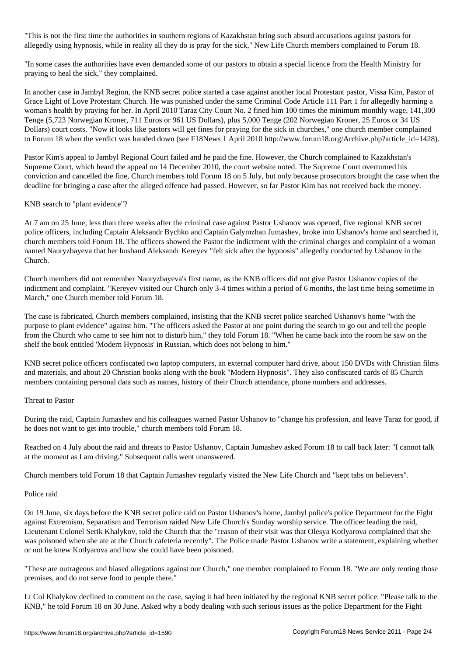"This is not the first time the authorities in southern regions of Kazakhstan bring such absurd accusations against pastors for allegedly using hypnosis, while in reality all they do is pray for the sick," New Life Church members complained to Forum 18.

"In some cases the authorities have even demanded some of our pastors to obtain a special licence from the Health Ministry for praying to heal the sick," they complained.

In another case in Jambyl Region, the KNB secret police started a case against another local Protestant pastor, Vissa Kim, Pastor of Grace Light of Love Protestant Church. He was punished under the same Criminal Code Article 111 Part 1 for allegedly harming a woman's health by praying for her. In April 2010 Taraz City Court No. 2 fined him 100 times the minimum monthly wage, 141,300 Tenge (5,723 Norwegian Kroner, 711 Euros or 961 US Dollars), plus 5,000 Tenge (202 Norwegian Kroner, 25 Euros or 34 US Dollars) court costs. "Now it looks like pastors will get fines for praying for the sick in churches," one church member complained to Forum 18 when the verdict was handed down (see F18News 1 April 2010 http://www.forum18.org/Archive.php?article\_id=1428).

Pastor Kim's appeal to Jambyl Regional Court failed and he paid the fine. However, the Church complained to Kazakhstan's Supreme Court, which heard the appeal on 14 December 2010, the court website noted. The Supreme Court overturned his conviction and cancelled the fine, Church members told Forum 18 on 5 July, but only because prosecutors brought the case when the deadline for bringing a case after the alleged offence had passed. However, so far Pastor Kim has not received back the money.

### KNB search to "plant evidence"?

At 7 am on 25 June, less than three weeks after the criminal case against Pastor Ushanov was opened, five regional KNB secret police officers, including Captain Aleksandr Bychko and Captain Galymzhan Jumashev, broke into Ushanov's home and searched it, church members told Forum 18. The officers showed the Pastor the indictment with the criminal charges and complaint of a woman named Nauryzbayeva that her husband Aleksandr Kereyev "felt sick after the hypnosis" allegedly conducted by Ushanov in the Church.

Church members did not remember Nauryzbayeva's first name, as the KNB officers did not give Pastor Ushanov copies of the indictment and complaint. "Kereyev visited our Church only 3-4 times within a period of 6 months, the last time being sometime in March," one Church member told Forum 18.

The case is fabricated, Church members complained, insisting that the KNB secret police searched Ushanov's home "with the purpose to plant evidence" against him. "The officers asked the Pastor at one point during the search to go out and tell the people from the Church who came to see him not to disturb him," they told Forum 18. "When he came back into the room he saw on the shelf the book entitled 'Modern Hypnosis' in Russian, which does not belong to him."

KNB secret police officers confiscated two laptop computers, an external computer hard drive, about 150 DVDs with Christian films and materials, and about 20 Christian books along with the book "Modern Hypnosis". They also confiscated cards of 85 Church members containing personal data such as names, history of their Church attendance, phone numbers and addresses.

#### Threat to Pastor

During the raid, Captain Jumashev and his colleagues warned Pastor Ushanov to "change his profession, and leave Taraz for good, if he does not want to get into trouble," church members told Forum 18.

Reached on 4 July about the raid and threats to Pastor Ushanov, Captain Jumashev asked Forum 18 to call back later: "I cannot talk at the moment as I am driving." Subsequent calls went unanswered.

Church members told Forum 18 that Captain Jumashev regularly visited the New Life Church and "kept tabs on believers".

#### Police raid

On 19 June, six days before the KNB secret police raid on Pastor Ushanov's home, Jambyl police's police Department for the Fight against Extremism, Separatism and Terrorism raided New Life Church's Sunday worship service. The officer leading the raid, Lieutenant Colonel Serik Khalykov, told the Church that the "reason of their visit was that Olesya Kotlyarova complained that she was poisoned when she ate at the Church cafeteria recently". The Police made Pastor Ushanov write a statement, explaining whether or not he knew Kotlyarova and how she could have been poisoned.

"These are outrageous and biased allegations against our Church," one member complained to Forum 18. "We are only renting those premises, and do not serve food to people there."

Lt Col Khalykov declined to comment on the case, saying it had been initiated by the regional KNB secret police. "Please talk to the KNB," he told Forum 18 on 30 June. Asked why a body dealing with such serious issues as the police Department for the Fight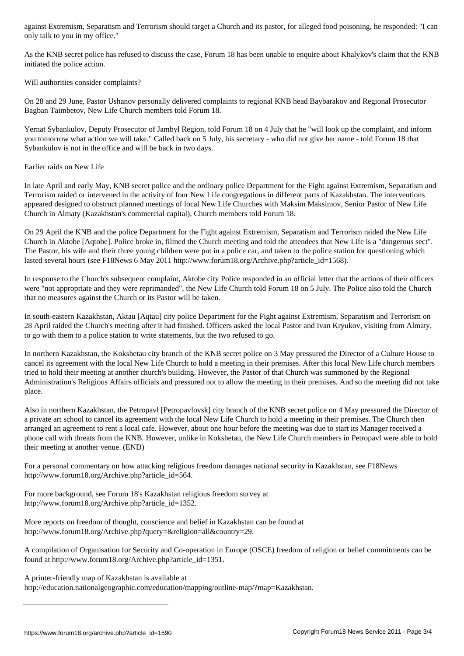only talk to you in my office."

As the KNB secret police has refused to discuss the case, Forum 18 has been unable to enquire about Khalykov's claim that the KNB initiated the police action.

Will authorities consider complaints?

On 28 and 29 June, Pastor Ushanov personally delivered complaints to regional KNB head Baybarakov and Regional Prosecutor Bagban Taimbetov, New Life Church members told Forum 18.

Yernat Sybankulov, Deputy Prosecutor of Jambyl Region, told Forum 18 on 4 July that he "will look up the complaint, and inform you tomorrow what action we will take." Called back on 5 July, his secretary - who did not give her name - told Forum 18 that Sybankulov is not in the office and will be back in two days.

Earlier raids on New Life

In late April and early May, KNB secret police and the ordinary police Department for the Fight against Extremism, Separatism and Terrorism raided or intervened in the activity of four New Life congregations in different parts of Kazakhstan. The interventions appeared designed to obstruct planned meetings of local New Life Churches with Maksim Maksimov, Senior Pastor of New Life Church in Almaty (Kazakhstan's commercial capital), Church members told Forum 18.

On 29 April the KNB and the police Department for the Fight against Extremism, Separatism and Terrorism raided the New Life Church in Aktobe [Aqtobe]. Police broke in, filmed the Church meeting and told the attendees that New Life is a "dangerous sect". The Pastor, his wife and their three young children were put in a police car, and taken to the police station for questioning which lasted several hours (see F18News 6 May 2011 http://www.forum18.org/Archive.php?article\_id=1568).

In response to the Church's subsequent complaint, Aktobe city Police responded in an official letter that the actions of their officers were "not appropriate and they were reprimanded", the New Life Church told Forum 18 on 5 July. The Police also told the Church that no measures against the Church or its Pastor will be taken.

In south-eastern Kazakhstan, Aktau [Aqtau] city police Department for the Fight against Extremism, Separatism and Terrorism on 28 April raided the Church's meeting after it had finished. Officers asked the local Pastor and Ivan Kryukov, visiting from Almaty, to go with them to a police station to write statements, but the two refused to go.

In northern Kazakhstan, the Kokshetau city branch of the KNB secret police on 3 May pressured the Director of a Culture House to cancel its agreement with the local New Life Church to hold a meeting in their premises. After this local New Life church members tried to hold their meeting at another church's building. However, the Pastor of that Church was summoned by the Regional Administration's Religious Affairs officials and pressured not to allow the meeting in their premises. And so the meeting did not take place.

Also in northern Kazakhstan, the Petropavl [Petropavlovsk] city branch of the KNB secret police on 4 May pressured the Director of a private art school to cancel its agreement with the local New Life Church to hold a meeting in their premises. The Church then arranged an agreement to rent a local cafe. However, about one hour before the meeting was due to start its Manager received a phone call with threats from the KNB. However, unlike in Kokshetau, the New Life Church members in Petropavl were able to hold their meeting at another venue. (END)

For a personal commentary on how attacking religious freedom damages national security in Kazakhstan, see F18News http://www.forum18.org/Archive.php?article\_id=564.

For more background, see Forum 18's Kazakhstan religious freedom survey at http://www.forum18.org/Archive.php?article\_id=1352.

More reports on freedom of thought, conscience and belief in Kazakhstan can be found at http://www.forum18.org/Archive.php?query=&religion=all&country=29.

A compilation of Organisation for Security and Co-operation in Europe (OSCE) freedom of religion or belief commitments can be found at http://www.forum18.org/Archive.php?article\_id=1351.

A printer-friendly map of Kazakhstan is available at

http://education.nationalgeographic.com/education/mapping/outline-map/?map=Kazakhstan.